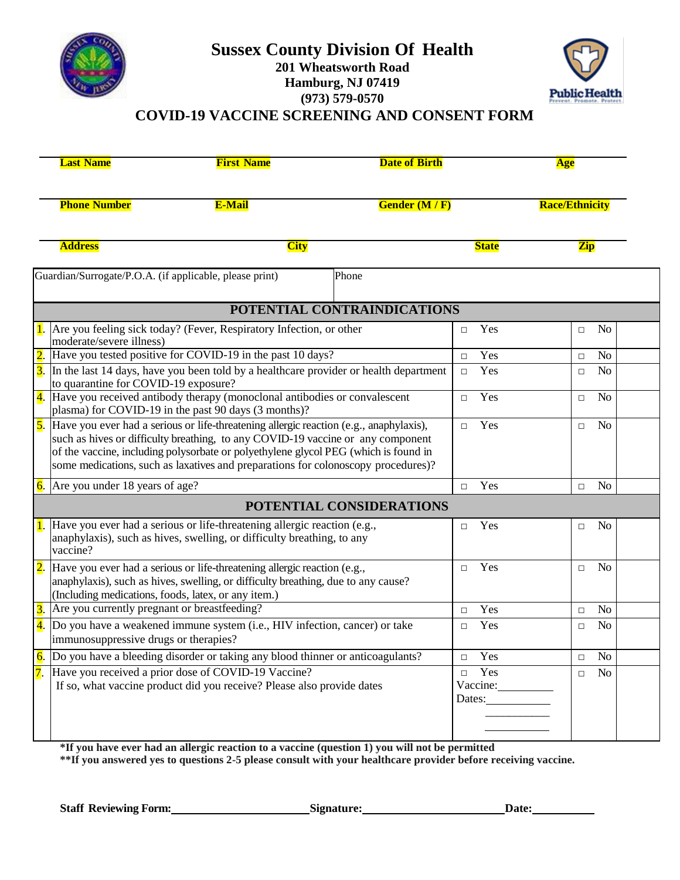



## **COVID-19 VACCINE SCREENING AND CONSENT FORM**

| <b>Last Name</b>                                                                                                                                                                                                     | <b>First Name</b>                                                                                                                                                                                                                                                                                                                                               | <b>Date of Birth</b>        |               | <b>Age</b>               |                 |
|----------------------------------------------------------------------------------------------------------------------------------------------------------------------------------------------------------------------|-----------------------------------------------------------------------------------------------------------------------------------------------------------------------------------------------------------------------------------------------------------------------------------------------------------------------------------------------------------------|-----------------------------|---------------|--------------------------|-----------------|
| <b>Phone Number</b>                                                                                                                                                                                                  | <b>E-Mail</b>                                                                                                                                                                                                                                                                                                                                                   | <b>Gender (M/F)</b>         |               | <b>Race/Ethnicity</b>    |                 |
| <b>Address</b>                                                                                                                                                                                                       | <b>City</b>                                                                                                                                                                                                                                                                                                                                                     |                             | <b>State</b>  | <b>Zip</b>               |                 |
| Guardian/Surrogate/P.O.A. (if applicable, please print)                                                                                                                                                              |                                                                                                                                                                                                                                                                                                                                                                 | Phone                       |               |                          |                 |
|                                                                                                                                                                                                                      |                                                                                                                                                                                                                                                                                                                                                                 | POTENTIAL CONTRAINDICATIONS |               |                          |                 |
| moderate/severe illness)                                                                                                                                                                                             | Are you feeling sick today? (Fever, Respiratory Infection, or other                                                                                                                                                                                                                                                                                             |                             | Yes<br>$\Box$ | N <sub>o</sub><br>$\Box$ |                 |
|                                                                                                                                                                                                                      | Have you tested positive for COVID-19 in the past 10 days?                                                                                                                                                                                                                                                                                                      |                             | Yes<br>$\Box$ | N <sub>o</sub><br>$\Box$ |                 |
| $\overline{3}$ .<br>In the last 14 days, have you been told by a healthcare provider or health department<br>to quarantine for COVID-19 exposure?                                                                    |                                                                                                                                                                                                                                                                                                                                                                 |                             | Yes<br>$\Box$ | N <sub>o</sub><br>$\Box$ |                 |
| 4. Have you received antibody therapy (monoclonal antibodies or convalescent<br>plasma) for COVID-19 in the past 90 days (3 months)?                                                                                 |                                                                                                                                                                                                                                                                                                                                                                 |                             | Yes<br>$\Box$ | N <sub>o</sub><br>$\Box$ |                 |
|                                                                                                                                                                                                                      | <b>5.</b> Have you ever had a serious or life-threatening allergic reaction (e.g., anaphylaxis),<br>such as hives or difficulty breathing, to any COVID-19 vaccine or any component<br>of the vaccine, including polysorbate or polyethylene glycol PEG (which is found in<br>some medications, such as laxatives and preparations for colonoscopy procedures)? |                             |               | N <sub>o</sub><br>$\Box$ |                 |
| $\overline{6}$ . Are you under 18 years of age?                                                                                                                                                                      |                                                                                                                                                                                                                                                                                                                                                                 |                             | Yes<br>$\Box$ | No<br>$\Box$             |                 |
|                                                                                                                                                                                                                      |                                                                                                                                                                                                                                                                                                                                                                 | POTENTIAL CONSIDERATIONS    |               |                          |                 |
| vaccine?                                                                                                                                                                                                             | <b>1.</b> Have you ever had a serious or life-threatening allergic reaction (e.g.,<br>anaphylaxis), such as hives, swelling, or difficulty breathing, to any                                                                                                                                                                                                    |                             | Yes<br>$\Box$ | No<br>$\Box$             |                 |
| Have you ever had a serious or life-threatening allergic reaction (e.g.,<br>anaphylaxis), such as hives, swelling, or difficulty breathing, due to any cause?<br>(Including medications, foods, latex, or any item.) |                                                                                                                                                                                                                                                                                                                                                                 |                             | Yes<br>$\Box$ | No<br>$\Box$             |                 |
| $\overline{3}$ .                                                                                                                                                                                                     | Are you currently pregnant or breastfeeding?                                                                                                                                                                                                                                                                                                                    |                             |               | N <sub>o</sub><br>$\Box$ |                 |
| 4.<br>Do you have a weakened immune system (i.e., HIV infection, cancer) or take<br>immunosuppressive drugs or therapies?                                                                                            |                                                                                                                                                                                                                                                                                                                                                                 |                             | Yes<br>$\Box$ | N <sub>o</sub><br>$\Box$ |                 |
|                                                                                                                                                                                                                      | Do you have a bleeding disorder or taking any blood thinner or anticoagulants?                                                                                                                                                                                                                                                                                  |                             |               | $\Box$                   | $\overline{No}$ |
| 7. Have you received a prior dose of COVID-19 Vaccine?<br>If so, what vaccine product did you receive? Please also provide dates                                                                                     |                                                                                                                                                                                                                                                                                                                                                                 | Yes<br>$\Box$<br>Vaccine:   | $\Box$        | No                       |                 |
|                                                                                                                                                                                                                      |                                                                                                                                                                                                                                                                                                                                                                 |                             |               |                          |                 |

**\*If you have ever had an allergic reaction to a vaccine (question 1) you will not be permitted**

**\*\*If you answered yes to questions 2-5 please consult with your healthcare provider before receiving vaccine.**

**Staff Reviewing Form: Signature: Date:**